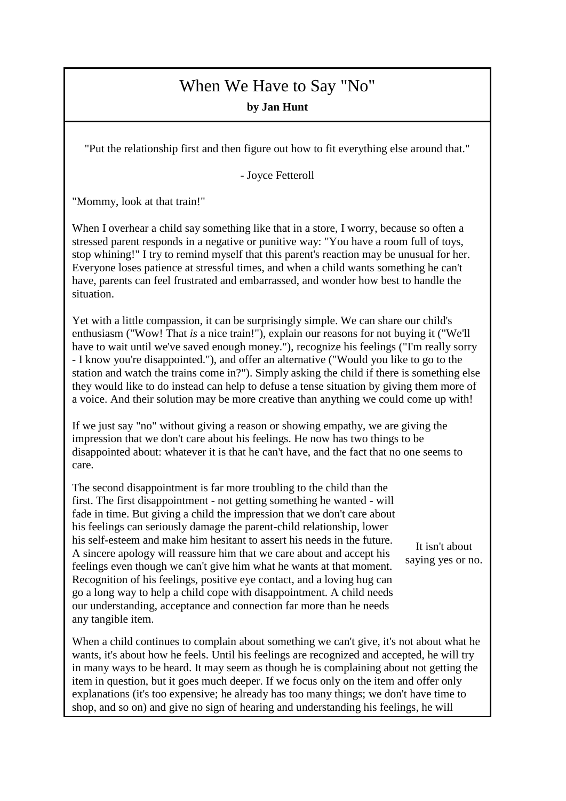## When We Have to Say "No"

**by Jan Hunt**

"Put the relationship first and then figure out how to fit everything else around that."

- Joyce Fetteroll

"Mommy, look at that train!"

When I overhear a child say something like that in a store, I worry, because so often a stressed parent responds in a negative or punitive way: "You have a room full of toys, stop whining!" I try to remind myself that this parent's reaction may be unusual for her. Everyone loses patience at stressful times, and when a child wants something he can't have, parents can feel frustrated and embarrassed, and wonder how best to handle the situation.

Yet with a little compassion, it can be surprisingly simple. We can share our child's enthusiasm ("Wow! That *is* a nice train!"), explain our reasons for not buying it ("We'll have to wait until we've saved enough money."), recognize his feelings ("I'm really sorry - I know you're disappointed."), and offer an alternative ("Would you like to go to the station and watch the trains come in?"). Simply asking the child if there is something else they would like to do instead can help to defuse a tense situation by giving them more of a voice. And their solution may be more creative than anything we could come up with!

If we just say "no" without giving a reason or showing empathy, we are giving the impression that we don't care about his feelings. He now has two things to be disappointed about: whatever it is that he can't have, and the fact that no one seems to care.

The second disappointment is far more troubling to the child than the first. The first disappointment - not getting something he wanted - will fade in time. But giving a child the impression that we don't care about his feelings can seriously damage the parent-child relationship, lower his self-esteem and make him hesitant to assert his needs in the future. A sincere apology will reassure him that we care about and accept his feelings even though we can't give him what he wants at that moment. Recognition of his feelings, positive eye contact, and a loving hug can go a long way to help a child cope with disappointment. A child needs our understanding, acceptance and connection far more than he needs any tangible item.

When a child continues to complain about something we can't give, it's not about what he wants, it's about how he feels. Until his feelings are recognized and accepted, he will try in many ways to be heard. It may seem as though he is complaining about not getting the item in question, but it goes much deeper. If we focus only on the item and offer only explanations (it's too expensive; he already has too many things; we don't have time to shop, and so on) and give no sign of hearing and understanding his feelings, he will

It isn't about saying yes or no.